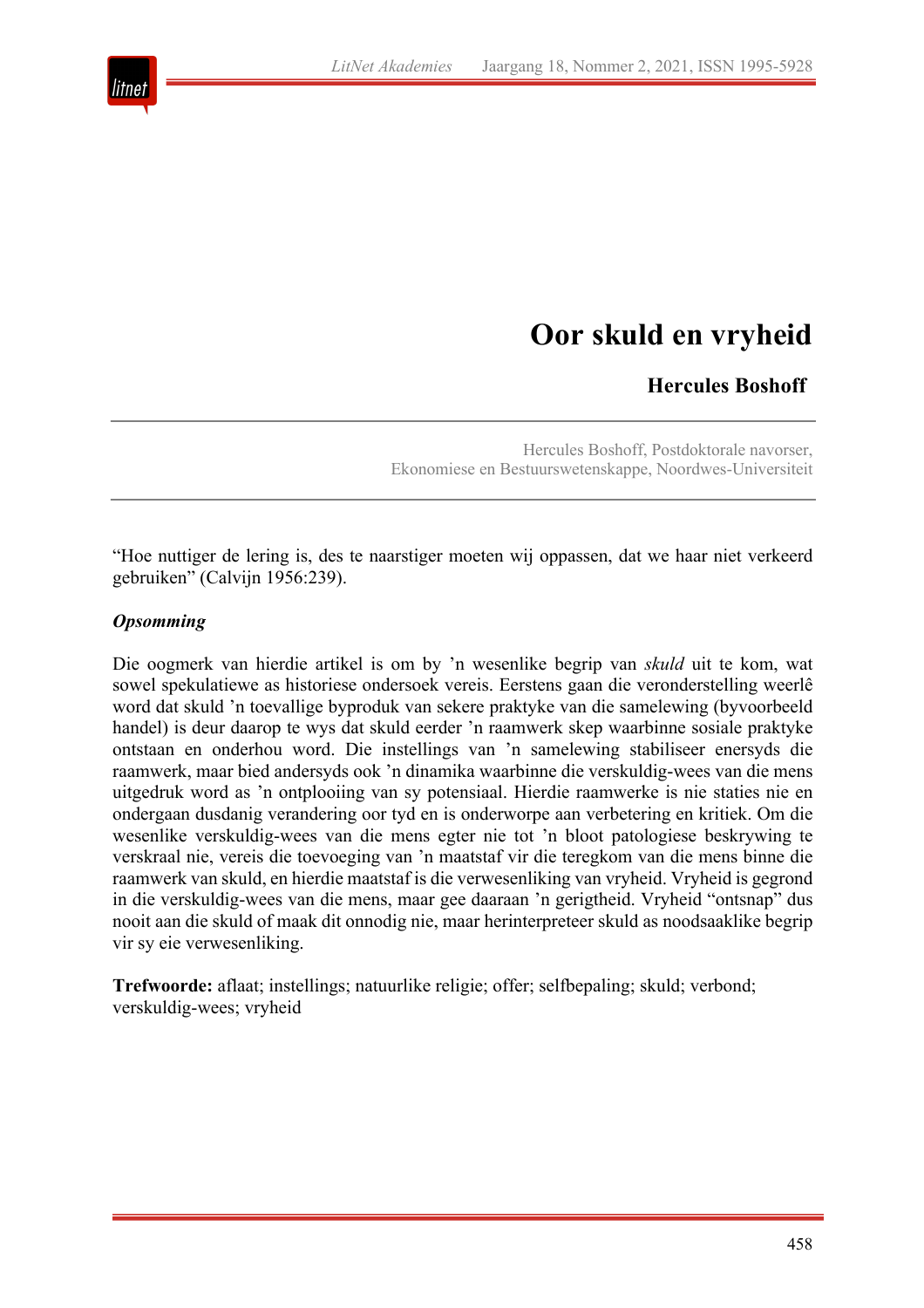

# **Oor skuld en vryheid**

## **Hercules Boshoff**

Hercules Boshoff, Postdoktorale navorser, Ekonomiese en Bestuurswetenskappe, Noordwes-Universiteit

"Hoe nuttiger de lering is, des te naarstiger moeten wij oppassen, dat we haar niet verkeerd gebruiken" (Calvijn 1956:239).

#### *Opsomming*

Die oogmerk van hierdie artikel is om by 'n wesenlike begrip van *skuld* uit te kom, wat sowel spekulatiewe as historiese ondersoek vereis. Eerstens gaan die veronderstelling weerlê word dat skuld 'n toevallige byproduk van sekere praktyke van die samelewing (byvoorbeeld handel) is deur daarop te wys dat skuld eerder 'n raamwerk skep waarbinne sosiale praktyke ontstaan en onderhou word. Die instellings van 'n samelewing stabiliseer enersyds die raamwerk, maar bied andersyds ook 'n dinamika waarbinne die verskuldig-wees van die mens uitgedruk word as 'n ontplooiing van sy potensiaal. Hierdie raamwerke is nie staties nie en ondergaan dusdanig verandering oor tyd en is onderworpe aan verbetering en kritiek. Om die wesenlike verskuldig-wees van die mens egter nie tot 'n bloot patologiese beskrywing te verskraal nie, vereis die toevoeging van 'n maatstaf vir die teregkom van die mens binne die raamwerk van skuld, en hierdie maatstaf is die verwesenliking van vryheid. Vryheid is gegrond in die verskuldig-wees van die mens, maar gee daaraan 'n gerigtheid. Vryheid "ontsnap" dus nooit aan die skuld of maak dit onnodig nie, maar herinterpreteer skuld as noodsaaklike begrip vir sy eie verwesenliking.

**Trefwoorde:** aflaat; instellings; natuurlike religie; offer; selfbepaling; skuld; verbond; verskuldig-wees; vryheid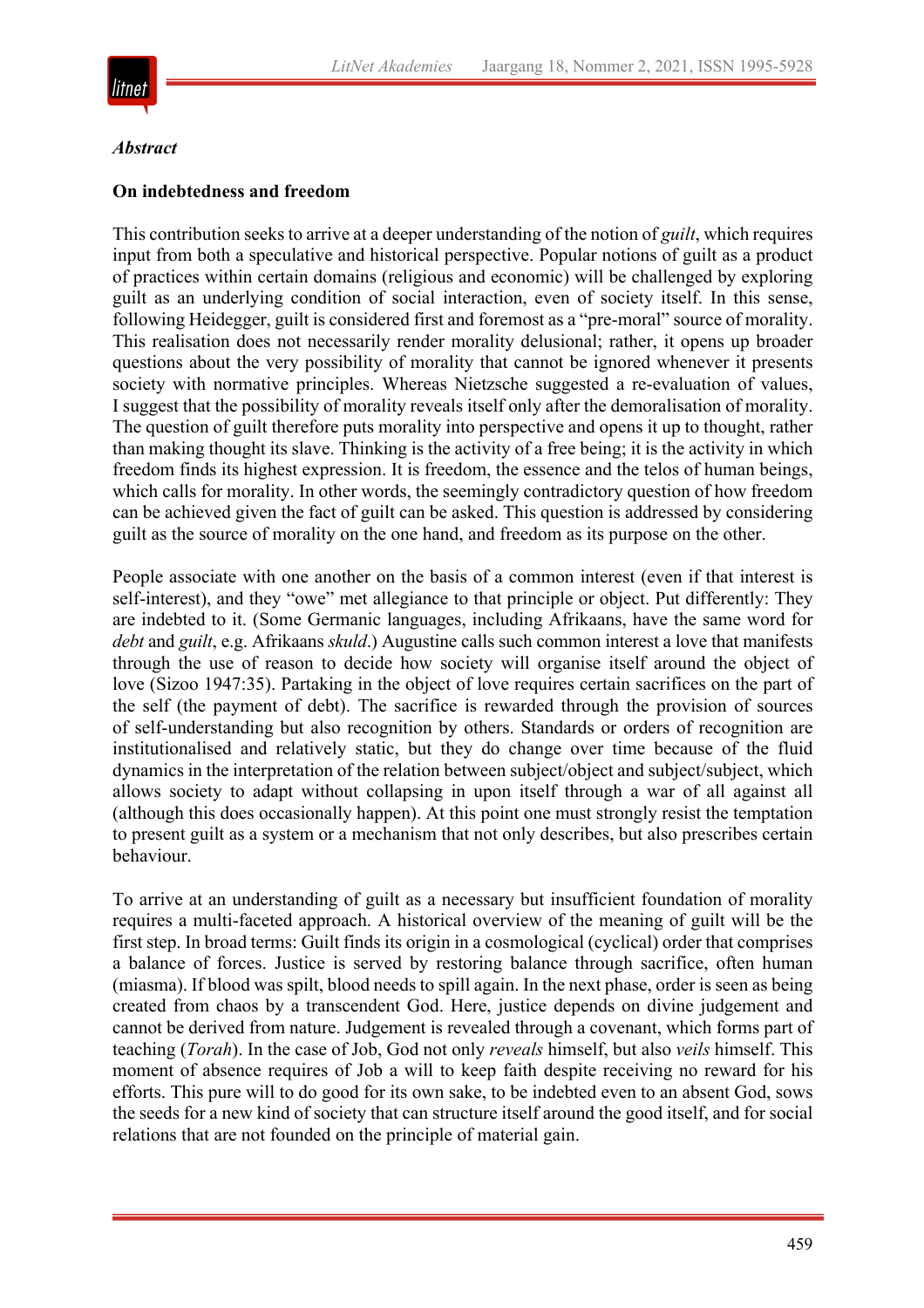

#### *Abstract*

#### **On indebtedness and freedom**

This contribution seeks to arrive at a deeper understanding of the notion of *guilt*, which requires input from both a speculative and historical perspective. Popular notions of guilt as a product of practices within certain domains (religious and economic) will be challenged by exploring guilt as an underlying condition of social interaction, even of society itself. In this sense, following Heidegger, guilt is considered first and foremost as a "pre-moral" source of morality. This realisation does not necessarily render morality delusional; rather, it opens up broader questions about the very possibility of morality that cannot be ignored whenever it presents society with normative principles. Whereas Nietzsche suggested a re-evaluation of values, I suggest that the possibility of morality reveals itself only after the demoralisation of morality. The question of guilt therefore puts morality into perspective and opens it up to thought, rather than making thought its slave. Thinking is the activity of a free being; it is the activity in which freedom finds its highest expression. It is freedom, the essence and the telos of human beings, which calls for morality. In other words, the seemingly contradictory question of how freedom can be achieved given the fact of guilt can be asked. This question is addressed by considering guilt as the source of morality on the one hand, and freedom as its purpose on the other.

People associate with one another on the basis of a common interest (even if that interest is self-interest), and they "owe" met allegiance to that principle or object. Put differently: They are indebted to it. (Some Germanic languages, including Afrikaans, have the same word for *debt* and *guilt*, e.g. Afrikaans *skuld*.) Augustine calls such common interest a love that manifests through the use of reason to decide how society will organise itself around the object of love (Sizoo 1947:35). Partaking in the object of love requires certain sacrifices on the part of the self (the payment of debt). The sacrifice is rewarded through the provision of sources of self-understanding but also recognition by others. Standards or orders of recognition are institutionalised and relatively static, but they do change over time because of the fluid dynamics in the interpretation of the relation between subject/object and subject/subject, which allows society to adapt without collapsing in upon itself through a war of all against all (although this does occasionally happen). At this point one must strongly resist the temptation to present guilt as a system or a mechanism that not only describes, but also prescribes certain behaviour.

To arrive at an understanding of guilt as a necessary but insufficient foundation of morality requires a multi-faceted approach. A historical overview of the meaning of guilt will be the first step. In broad terms: Guilt finds its origin in a cosmological (cyclical) order that comprises a balance of forces. Justice is served by restoring balance through sacrifice, often human (miasma). If blood was spilt, blood needs to spill again. In the next phase, order is seen as being created from chaos by a transcendent God. Here, justice depends on divine judgement and cannot be derived from nature. Judgement is revealed through a covenant, which forms part of teaching (*Torah*). In the case of Job, God not only *reveals* himself, but also *veils* himself. This moment of absence requires of Job a will to keep faith despite receiving no reward for his efforts. This pure will to do good for its own sake, to be indebted even to an absent God, sows the seeds for a new kind of society that can structure itself around the good itself, and for social relations that are not founded on the principle of material gain.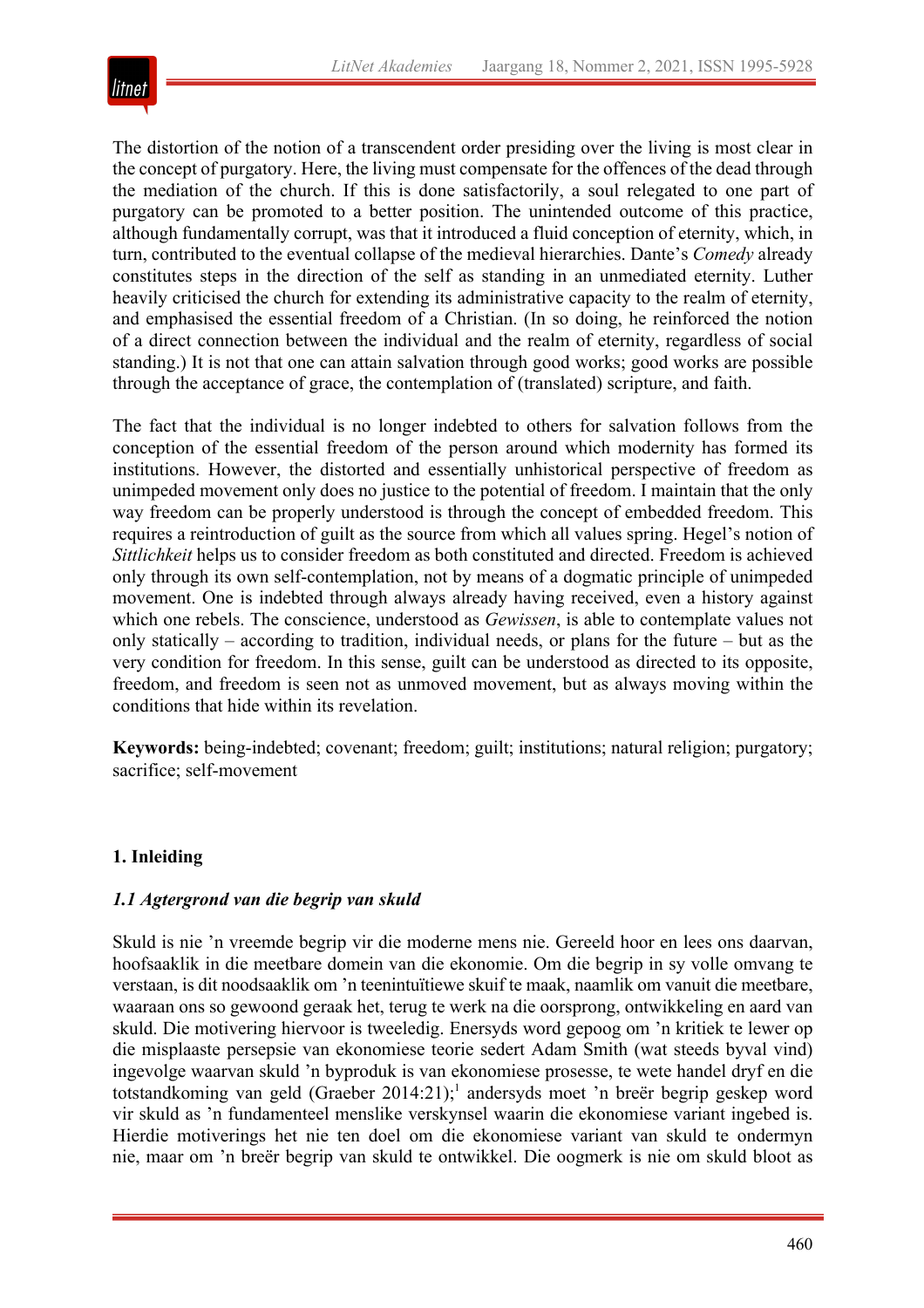

The distortion of the notion of a transcendent order presiding over the living is most clear in the concept of purgatory. Here, the living must compensate for the offences of the dead through the mediation of the church. If this is done satisfactorily, a soul relegated to one part of purgatory can be promoted to a better position. The unintended outcome of this practice, although fundamentally corrupt, was that it introduced a fluid conception of eternity, which, in turn, contributed to the eventual collapse of the medieval hierarchies. Dante's *Comedy* already constitutes steps in the direction of the self as standing in an unmediated eternity. Luther heavily criticised the church for extending its administrative capacity to the realm of eternity, and emphasised the essential freedom of a Christian. (In so doing, he reinforced the notion of a direct connection between the individual and the realm of eternity, regardless of social standing.) It is not that one can attain salvation through good works; good works are possible through the acceptance of grace, the contemplation of (translated) scripture, and faith.

The fact that the individual is no longer indebted to others for salvation follows from the conception of the essential freedom of the person around which modernity has formed its institutions. However, the distorted and essentially unhistorical perspective of freedom as unimpeded movement only does no justice to the potential of freedom. I maintain that the only way freedom can be properly understood is through the concept of embedded freedom. This requires a reintroduction of guilt as the source from which all values spring. Hegel's notion of *Sittlichkeit* helps us to consider freedom as both constituted and directed. Freedom is achieved only through its own self-contemplation, not by means of a dogmatic principle of unimpeded movement. One is indebted through always already having received, even a history against which one rebels. The conscience, understood as *Gewissen*, is able to contemplate values not only statically – according to tradition, individual needs, or plans for the future – but as the very condition for freedom. In this sense, guilt can be understood as directed to its opposite, freedom, and freedom is seen not as unmoved movement, but as always moving within the conditions that hide within its revelation.

**Keywords:** being-indebted; covenant; freedom; guilt; institutions; natural religion; purgatory; sacrifice; self-movement

## **1. Inleiding**

#### *1.1 Agtergrond van die begrip van skuld*

Skuld is nie 'n vreemde begrip vir die moderne mens nie. Gereeld hoor en lees ons daarvan, hoofsaaklik in die meetbare domein van die ekonomie. Om die begrip in sy volle omvang te verstaan, is dit noodsaaklik om 'n teenintuïtiewe skuif te maak, naamlik om vanuit die meetbare, waaraan ons so gewoond geraak het, terug te werk na die oorsprong, ontwikkeling en aard van skuld. Die motivering hiervoor is tweeledig. Enersyds word gepoog om 'n kritiek te lewer op die misplaaste persepsie van ekonomiese teorie sedert Adam Smith (wat steeds byval vind) ingevolge waarvan skuld 'n byproduk is van ekonomiese prosesse, te wete handel dryf en die totstandkoming van geld (Graeber 2014:21);<sup>1</sup> andersyds moet 'n breër begrip geskep word vir skuld as 'n fundamenteel menslike verskynsel waarin die ekonomiese variant ingebed is. Hierdie motiverings het nie ten doel om die ekonomiese variant van skuld te ondermyn nie, maar om 'n breër begrip van skuld te ontwikkel. Die oogmerk is nie om skuld bloot as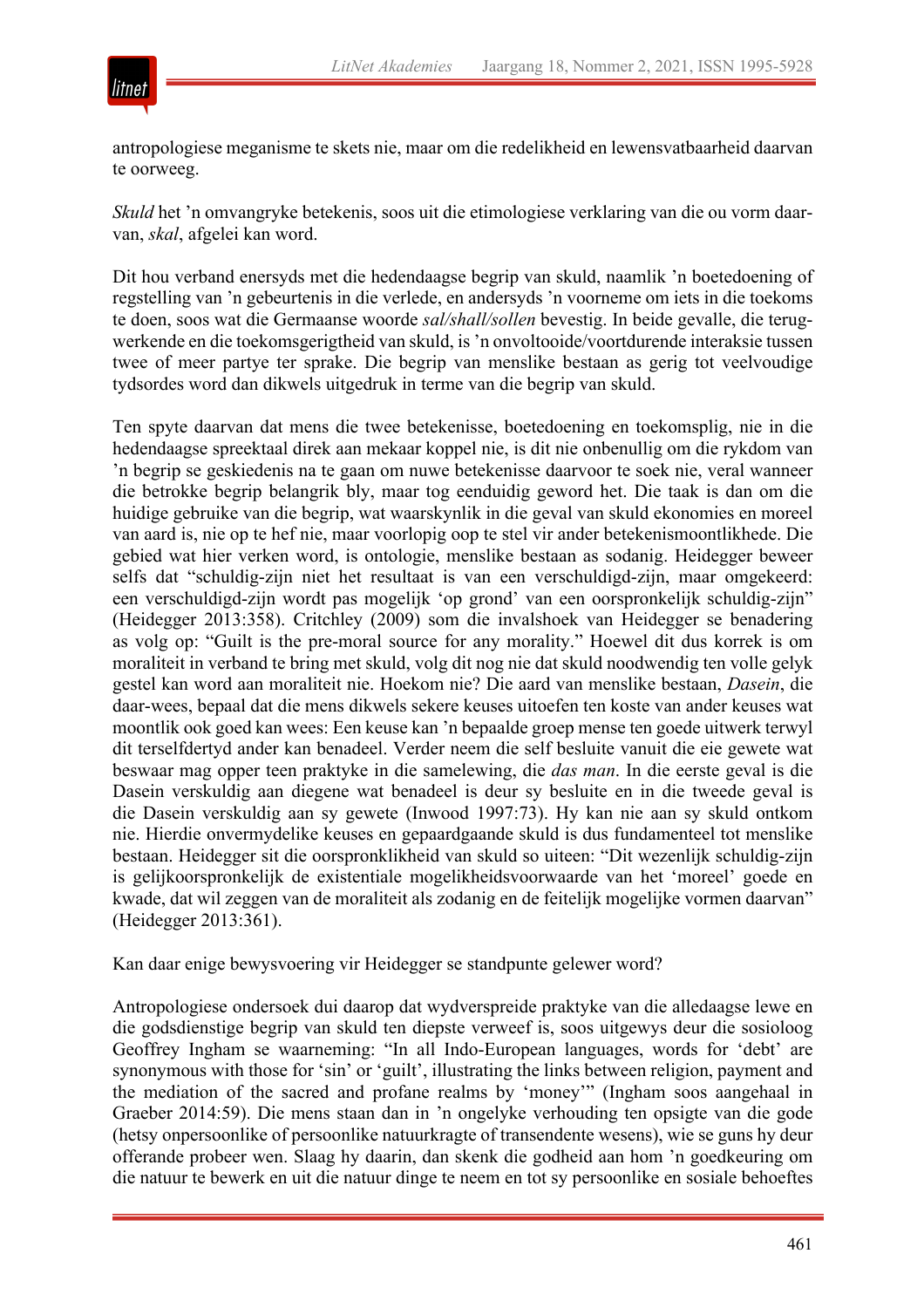

antropologiese meganisme te skets nie, maar om die redelikheid en lewensvatbaarheid daarvan te oorweeg.

*Skuld* het 'n omvangryke betekenis, soos uit die etimologiese verklaring van die ou vorm daarvan, *skal*, afgelei kan word.

Dit hou verband enersyds met die hedendaagse begrip van skuld, naamlik 'n boetedoening of regstelling van 'n gebeurtenis in die verlede, en andersyds 'n voorneme om iets in die toekoms te doen, soos wat die Germaanse woorde *sal/shall/sollen* bevestig. In beide gevalle, die terugwerkende en die toekomsgerigtheid van skuld, is 'n onvoltooide/voortdurende interaksie tussen twee of meer partye ter sprake. Die begrip van menslike bestaan as gerig tot veelvoudige tydsordes word dan dikwels uitgedruk in terme van die begrip van skuld.

Ten spyte daarvan dat mens die twee betekenisse, boetedoening en toekomsplig, nie in die hedendaagse spreektaal direk aan mekaar koppel nie, is dit nie onbenullig om die rykdom van 'n begrip se geskiedenis na te gaan om nuwe betekenisse daarvoor te soek nie, veral wanneer die betrokke begrip belangrik bly, maar tog eenduidig geword het. Die taak is dan om die huidige gebruike van die begrip, wat waarskynlik in die geval van skuld ekonomies en moreel van aard is, nie op te hef nie, maar voorlopig oop te stel vir ander betekenismoontlikhede. Die gebied wat hier verken word, is ontologie, menslike bestaan as sodanig. Heidegger beweer selfs dat "schuldig-zijn niet het resultaat is van een verschuldigd-zijn, maar omgekeerd: een verschuldigd-zijn wordt pas mogelijk 'op grond' van een oorspronkelijk schuldig-zijn" (Heidegger 2013:358). Critchley (2009) som die invalshoek van Heidegger se benadering as volg op: "Guilt is the pre-moral source for any morality." Hoewel dit dus korrek is om moraliteit in verband te bring met skuld, volg dit nog nie dat skuld noodwendig ten volle gelyk gestel kan word aan moraliteit nie. Hoekom nie? Die aard van menslike bestaan, *Dasein*, die daar-wees, bepaal dat die mens dikwels sekere keuses uitoefen ten koste van ander keuses wat moontlik ook goed kan wees: Een keuse kan 'n bepaalde groep mense ten goede uitwerk terwyl dit terselfdertyd ander kan benadeel. Verder neem die self besluite vanuit die eie gewete wat beswaar mag opper teen praktyke in die samelewing, die *das man*. In die eerste geval is die Dasein verskuldig aan diegene wat benadeel is deur sy besluite en in die tweede geval is die Dasein verskuldig aan sy gewete (Inwood 1997:73). Hy kan nie aan sy skuld ontkom nie. Hierdie onvermydelike keuses en gepaardgaande skuld is dus fundamenteel tot menslike bestaan. Heidegger sit die oorspronklikheid van skuld so uiteen: "Dit wezenlijk schuldig-zijn is gelijkoorspronkelijk de existentiale mogelikheidsvoorwaarde van het 'moreel' goede en kwade, dat wil zeggen van de moraliteit als zodanig en de feitelijk mogelijke vormen daarvan" (Heidegger 2013:361).

Kan daar enige bewysvoering vir Heidegger se standpunte gelewer word?

Antropologiese ondersoek dui daarop dat wydverspreide praktyke van die alledaagse lewe en die godsdienstige begrip van skuld ten diepste verweef is, soos uitgewys deur die sosioloog Geoffrey Ingham se waarneming: "In all Indo-European languages, words for 'debt' are synonymous with those for 'sin' or 'guilt', illustrating the links between religion, payment and the mediation of the sacred and profane realms by 'money'" (Ingham soos aangehaal in Graeber 2014:59). Die mens staan dan in 'n ongelyke verhouding ten opsigte van die gode (hetsy onpersoonlike of persoonlike natuurkragte of transendente wesens), wie se guns hy deur offerande probeer wen. Slaag hy daarin, dan skenk die godheid aan hom 'n goedkeuring om die natuur te bewerk en uit die natuur dinge te neem en tot sy persoonlike en sosiale behoeftes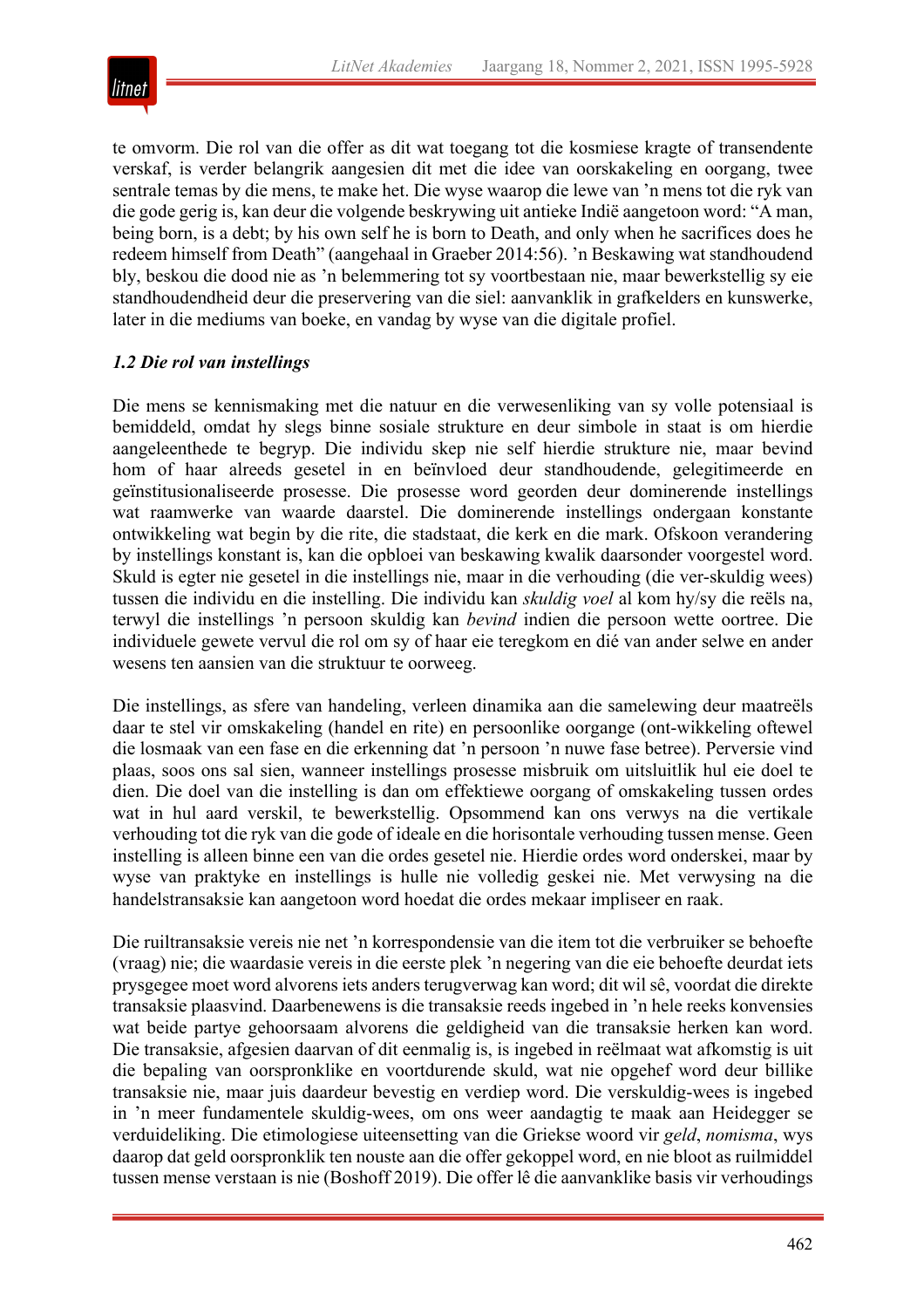

te omvorm. Die rol van die offer as dit wat toegang tot die kosmiese kragte of transendente verskaf, is verder belangrik aangesien dit met die idee van oorskakeling en oorgang, twee sentrale temas by die mens, te make het. Die wyse waarop die lewe van 'n mens tot die ryk van die gode gerig is, kan deur die volgende beskrywing uit antieke Indië aangetoon word: "A man, being born, is a debt; by his own self he is born to Death, and only when he sacrifices does he redeem himself from Death" (aangehaal in Graeber 2014:56). 'n Beskawing wat standhoudend bly, beskou die dood nie as 'n belemmering tot sy voortbestaan nie, maar bewerkstellig sy eie standhoudendheid deur die preservering van die siel: aanvanklik in grafkelders en kunswerke, later in die mediums van boeke, en vandag by wyse van die digitale profiel.

## *1.2 Die rol van instellings*

Die mens se kennismaking met die natuur en die verwesenliking van sy volle potensiaal is bemiddeld, omdat hy slegs binne sosiale strukture en deur simbole in staat is om hierdie aangeleenthede te begryp. Die individu skep nie self hierdie strukture nie, maar bevind hom of haar alreeds gesetel in en beïnvloed deur standhoudende, gelegitimeerde en geïnstitusionaliseerde prosesse. Die prosesse word georden deur dominerende instellings wat raamwerke van waarde daarstel. Die dominerende instellings ondergaan konstante ontwikkeling wat begin by die rite, die stadstaat, die kerk en die mark. Ofskoon verandering by instellings konstant is, kan die opbloei van beskawing kwalik daarsonder voorgestel word. Skuld is egter nie gesetel in die instellings nie, maar in die verhouding (die ver-skuldig wees) tussen die individu en die instelling. Die individu kan *skuldig voel* al kom hy/sy die reëls na, terwyl die instellings 'n persoon skuldig kan *bevind* indien die persoon wette oortree. Die individuele gewete vervul die rol om sy of haar eie teregkom en dié van ander selwe en ander wesens ten aansien van die struktuur te oorweeg.

Die instellings, as sfere van handeling, verleen dinamika aan die samelewing deur maatreëls daar te stel vir omskakeling (handel en rite) en persoonlike oorgange (ont-wikkeling oftewel die losmaak van een fase en die erkenning dat 'n persoon 'n nuwe fase betree). Perversie vind plaas, soos ons sal sien, wanneer instellings prosesse misbruik om uitsluitlik hul eie doel te dien. Die doel van die instelling is dan om effektiewe oorgang of omskakeling tussen ordes wat in hul aard verskil, te bewerkstellig. Opsommend kan ons verwys na die vertikale verhouding tot die ryk van die gode of ideale en die horisontale verhouding tussen mense. Geen instelling is alleen binne een van die ordes gesetel nie. Hierdie ordes word onderskei, maar by wyse van praktyke en instellings is hulle nie volledig geskei nie. Met verwysing na die handelstransaksie kan aangetoon word hoedat die ordes mekaar impliseer en raak.

Die ruiltransaksie vereis nie net 'n korrespondensie van die item tot die verbruiker se behoefte (vraag) nie; die waardasie vereis in die eerste plek 'n negering van die eie behoefte deurdat iets prysgegee moet word alvorens iets anders terugverwag kan word; dit wil sê, voordat die direkte transaksie plaasvind. Daarbenewens is die transaksie reeds ingebed in 'n hele reeks konvensies wat beide partye gehoorsaam alvorens die geldigheid van die transaksie herken kan word. Die transaksie, afgesien daarvan of dit eenmalig is, is ingebed in reëlmaat wat afkomstig is uit die bepaling van oorspronklike en voortdurende skuld, wat nie opgehef word deur billike transaksie nie, maar juis daardeur bevestig en verdiep word. Die verskuldig-wees is ingebed in 'n meer fundamentele skuldig-wees, om ons weer aandagtig te maak aan Heidegger se verduideliking. Die etimologiese uiteensetting van die Griekse woord vir *geld*, *nomisma*, wys daarop dat geld oorspronklik ten nouste aan die offer gekoppel word, en nie bloot as ruilmiddel tussen mense verstaan is nie (Boshoff 2019). Die offer lê die aanvanklike basis vir verhoudings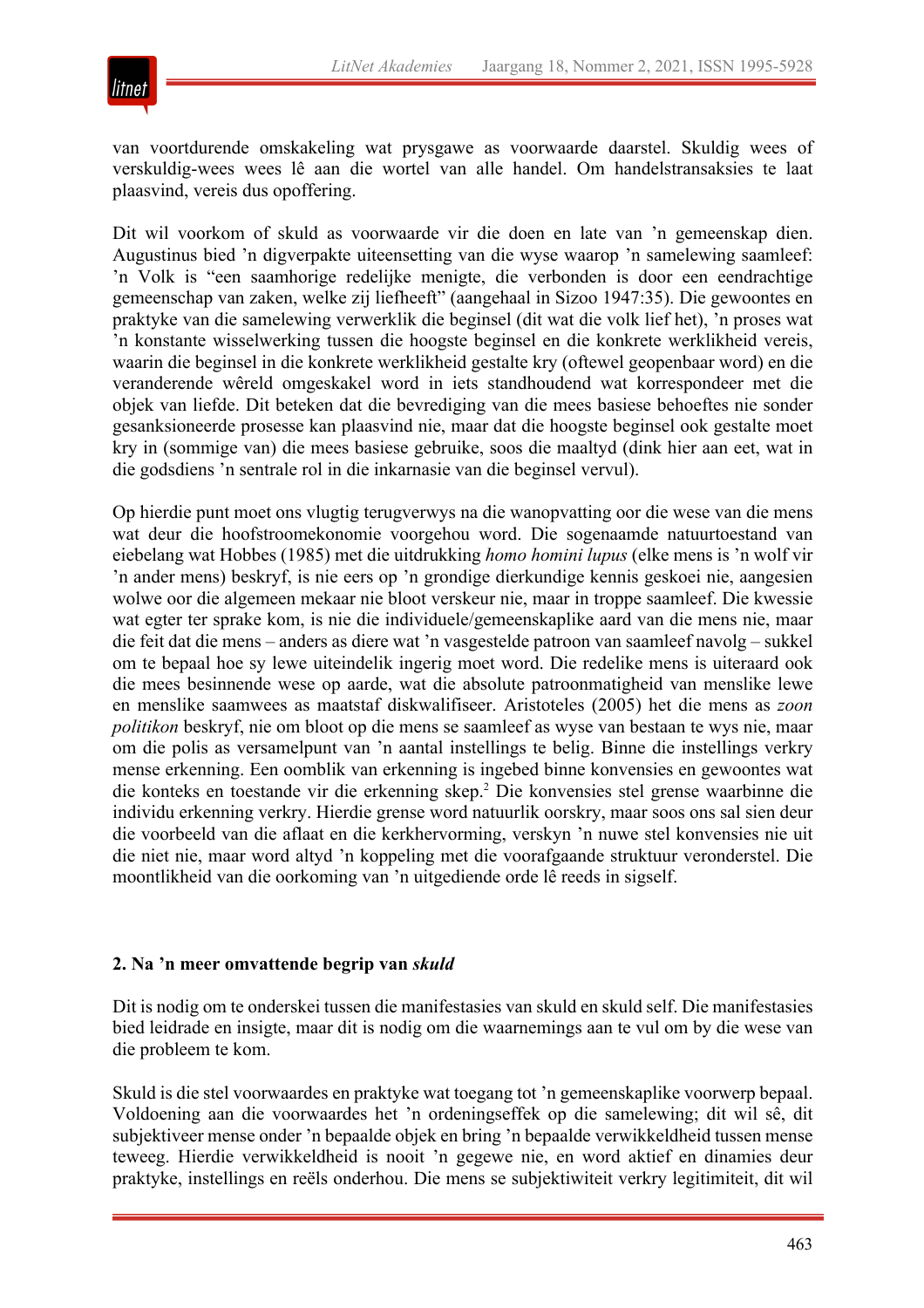

van voortdurende omskakeling wat prysgawe as voorwaarde daarstel. Skuldig wees of verskuldig-wees wees lê aan die wortel van alle handel. Om handelstransaksies te laat plaasvind, vereis dus opoffering.

Dit wil voorkom of skuld as voorwaarde vir die doen en late van 'n gemeenskap dien. Augustinus bied 'n digverpakte uiteensetting van die wyse waarop 'n samelewing saamleef: 'n Volk is "een saamhorige redelijke menigte, die verbonden is door een eendrachtige gemeenschap van zaken, welke zij liefheeft" (aangehaal in Sizoo 1947:35). Die gewoontes en praktyke van die samelewing verwerklik die beginsel (dit wat die volk lief het), 'n proses wat 'n konstante wisselwerking tussen die hoogste beginsel en die konkrete werklikheid vereis, waarin die beginsel in die konkrete werklikheid gestalte kry (oftewel geopenbaar word) en die veranderende wêreld omgeskakel word in iets standhoudend wat korrespondeer met die objek van liefde. Dit beteken dat die bevrediging van die mees basiese behoeftes nie sonder gesanksioneerde prosesse kan plaasvind nie, maar dat die hoogste beginsel ook gestalte moet kry in (sommige van) die mees basiese gebruike, soos die maaltyd (dink hier aan eet, wat in die godsdiens 'n sentrale rol in die inkarnasie van die beginsel vervul).

Op hierdie punt moet ons vlugtig terugverwys na die wanopvatting oor die wese van die mens wat deur die hoofstroomekonomie voorgehou word. Die sogenaamde natuurtoestand van eiebelang wat Hobbes (1985) met die uitdrukking *homo homini lupus* (elke mens is 'n wolf vir 'n ander mens) beskryf, is nie eers op 'n grondige dierkundige kennis geskoei nie, aangesien wolwe oor die algemeen mekaar nie bloot verskeur nie, maar in troppe saamleef. Die kwessie wat egter ter sprake kom, is nie die individuele/gemeenskaplike aard van die mens nie, maar die feit dat die mens – anders as diere wat 'n vasgestelde patroon van saamleef navolg – sukkel om te bepaal hoe sy lewe uiteindelik ingerig moet word. Die redelike mens is uiteraard ook die mees besinnende wese op aarde, wat die absolute patroonmatigheid van menslike lewe en menslike saamwees as maatstaf diskwalifiseer. Aristoteles (2005) het die mens as *zoon politikon* beskryf, nie om bloot op die mens se saamleef as wyse van bestaan te wys nie, maar om die polis as versamelpunt van 'n aantal instellings te belig. Binne die instellings verkry mense erkenning. Een oomblik van erkenning is ingebed binne konvensies en gewoontes wat die konteks en toestande vir die erkenning skep.2 Die konvensies stel grense waarbinne die individu erkenning verkry. Hierdie grense word natuurlik oorskry, maar soos ons sal sien deur die voorbeeld van die aflaat en die kerkhervorming, verskyn 'n nuwe stel konvensies nie uit die niet nie, maar word altyd 'n koppeling met die voorafgaande struktuur veronderstel. Die moontlikheid van die oorkoming van 'n uitgediende orde lê reeds in sigself.

#### **2. Na 'n meer omvattende begrip van** *skuld*

Dit is nodig om te onderskei tussen die manifestasies van skuld en skuld self. Die manifestasies bied leidrade en insigte, maar dit is nodig om die waarnemings aan te vul om by die wese van die probleem te kom.

Skuld is die stel voorwaardes en praktyke wat toegang tot 'n gemeenskaplike voorwerp bepaal. Voldoening aan die voorwaardes het 'n ordeningseffek op die samelewing; dit wil sê, dit subjektiveer mense onder 'n bepaalde objek en bring 'n bepaalde verwikkeldheid tussen mense teweeg. Hierdie verwikkeldheid is nooit 'n gegewe nie, en word aktief en dinamies deur praktyke, instellings en reëls onderhou. Die mens se subjektiwiteit verkry legitimiteit, dit wil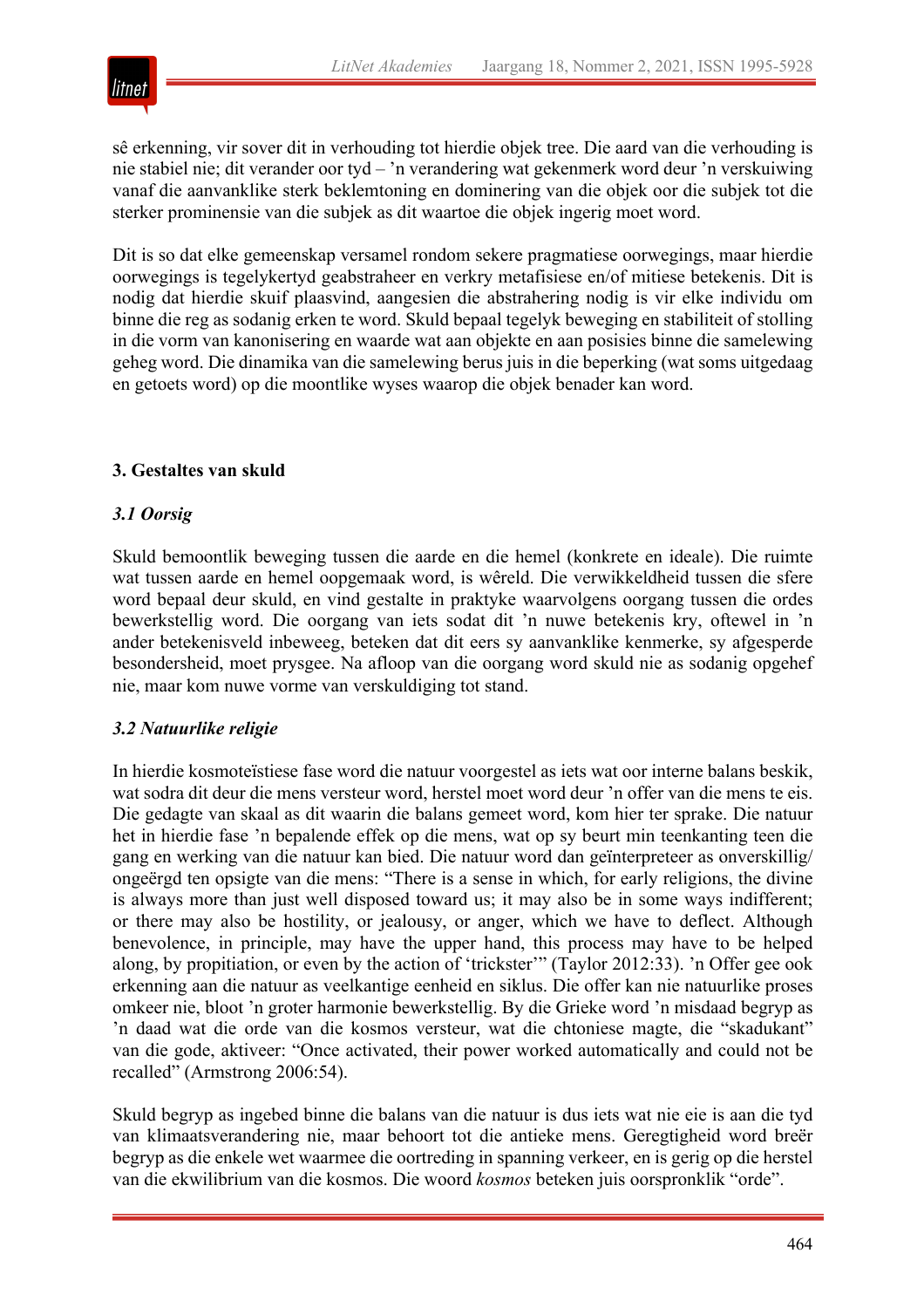

sê erkenning, vir sover dit in verhouding tot hierdie objek tree. Die aard van die verhouding is nie stabiel nie; dit verander oor tyd – 'n verandering wat gekenmerk word deur 'n verskuiwing vanaf die aanvanklike sterk beklemtoning en dominering van die objek oor die subjek tot die sterker prominensie van die subjek as dit waartoe die objek ingerig moet word.

Dit is so dat elke gemeenskap versamel rondom sekere pragmatiese oorwegings, maar hierdie oorwegings is tegelykertyd geabstraheer en verkry metafisiese en/of mitiese betekenis. Dit is nodig dat hierdie skuif plaasvind, aangesien die abstrahering nodig is vir elke individu om binne die reg as sodanig erken te word. Skuld bepaal tegelyk beweging en stabiliteit of stolling in die vorm van kanonisering en waarde wat aan objekte en aan posisies binne die samelewing geheg word. Die dinamika van die samelewing berus juis in die beperking (wat soms uitgedaag en getoets word) op die moontlike wyses waarop die objek benader kan word.

## **3. Gestaltes van skuld**

#### *3.1 Oorsig*

Skuld bemoontlik beweging tussen die aarde en die hemel (konkrete en ideale). Die ruimte wat tussen aarde en hemel oopgemaak word, is wêreld. Die verwikkeldheid tussen die sfere word bepaal deur skuld, en vind gestalte in praktyke waarvolgens oorgang tussen die ordes bewerkstellig word. Die oorgang van iets sodat dit 'n nuwe betekenis kry, oftewel in 'n ander betekenisveld inbeweeg, beteken dat dit eers sy aanvanklike kenmerke, sy afgesperde besondersheid, moet prysgee. Na afloop van die oorgang word skuld nie as sodanig opgehef nie, maar kom nuwe vorme van verskuldiging tot stand.

#### *3.2 Natuurlike religie*

In hierdie kosmoteïstiese fase word die natuur voorgestel as iets wat oor interne balans beskik, wat sodra dit deur die mens versteur word, herstel moet word deur 'n offer van die mens te eis. Die gedagte van skaal as dit waarin die balans gemeet word, kom hier ter sprake. Die natuur het in hierdie fase 'n bepalende effek op die mens, wat op sy beurt min teenkanting teen die gang en werking van die natuur kan bied. Die natuur word dan geïnterpreteer as onverskillig/ ongeërgd ten opsigte van die mens: "There is a sense in which, for early religions, the divine is always more than just well disposed toward us; it may also be in some ways indifferent; or there may also be hostility, or jealousy, or anger, which we have to deflect. Although benevolence, in principle, may have the upper hand, this process may have to be helped along, by propitiation, or even by the action of 'trickster'" (Taylor 2012:33). 'n Offer gee ook erkenning aan die natuur as veelkantige eenheid en siklus. Die offer kan nie natuurlike proses omkeer nie, bloot 'n groter harmonie bewerkstellig. By die Grieke word 'n misdaad begryp as 'n daad wat die orde van die kosmos versteur, wat die chtoniese magte, die "skadukant" van die gode, aktiveer: "Once activated, their power worked automatically and could not be recalled" (Armstrong 2006:54).

Skuld begryp as ingebed binne die balans van die natuur is dus iets wat nie eie is aan die tyd van klimaatsverandering nie, maar behoort tot die antieke mens. Geregtigheid word breër begryp as die enkele wet waarmee die oortreding in spanning verkeer, en is gerig op die herstel van die ekwilibrium van die kosmos. Die woord *kosmos* beteken juis oorspronklik "orde".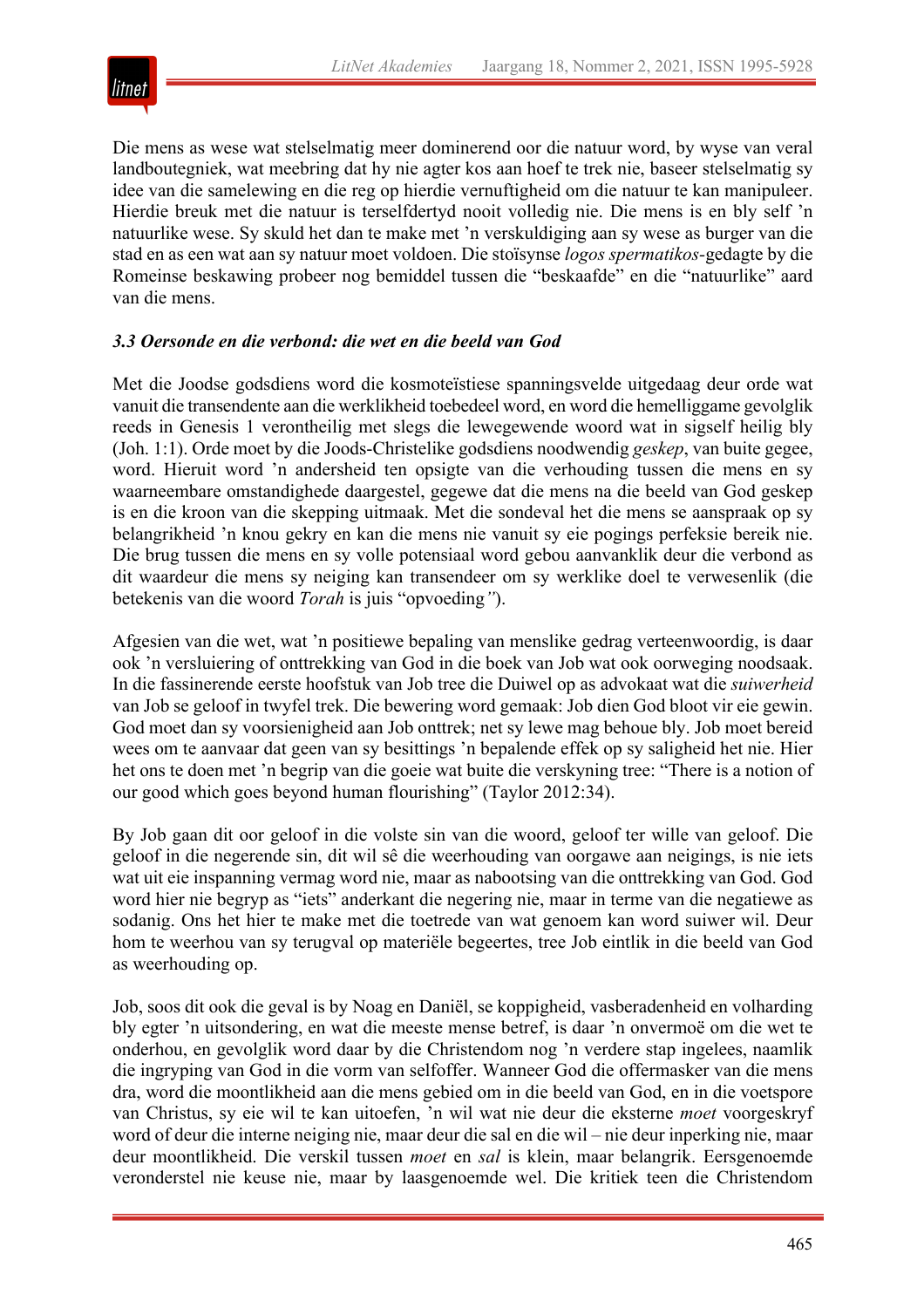

Die mens as wese wat stelselmatig meer dominerend oor die natuur word, by wyse van veral landboutegniek, wat meebring dat hy nie agter kos aan hoef te trek nie, baseer stelselmatig sy idee van die samelewing en die reg op hierdie vernuftigheid om die natuur te kan manipuleer. Hierdie breuk met die natuur is terselfdertyd nooit volledig nie. Die mens is en bly self 'n natuurlike wese. Sy skuld het dan te make met 'n verskuldiging aan sy wese as burger van die stad en as een wat aan sy natuur moet voldoen. Die stoïsynse *logos spermatikos-*gedagte by die Romeinse beskawing probeer nog bemiddel tussen die "beskaafde" en die "natuurlike" aard van die mens.

## *3.3 Oersonde en die verbond: die wet en die beeld van God*

Met die Joodse godsdiens word die kosmoteïstiese spanningsvelde uitgedaag deur orde wat vanuit die transendente aan die werklikheid toebedeel word, en word die hemelliggame gevolglik reeds in Genesis 1 verontheilig met slegs die lewegewende woord wat in sigself heilig bly (Joh. 1:1). Orde moet by die Joods-Christelike godsdiens noodwendig *geskep*, van buite gegee, word. Hieruit word 'n andersheid ten opsigte van die verhouding tussen die mens en sy waarneembare omstandighede daargestel, gegewe dat die mens na die beeld van God geskep is en die kroon van die skepping uitmaak. Met die sondeval het die mens se aanspraak op sy belangrikheid 'n knou gekry en kan die mens nie vanuit sy eie pogings perfeksie bereik nie. Die brug tussen die mens en sy volle potensiaal word gebou aanvanklik deur die verbond as dit waardeur die mens sy neiging kan transendeer om sy werklike doel te verwesenlik (die betekenis van die woord *Torah* is juis "opvoeding*"*).

Afgesien van die wet, wat 'n positiewe bepaling van menslike gedrag verteenwoordig, is daar ook 'n versluiering of onttrekking van God in die boek van Job wat ook oorweging noodsaak. In die fassinerende eerste hoofstuk van Job tree die Duiwel op as advokaat wat die *suiwerheid* van Job se geloof in twyfel trek. Die bewering word gemaak: Job dien God bloot vir eie gewin. God moet dan sy voorsienigheid aan Job onttrek; net sy lewe mag behoue bly. Job moet bereid wees om te aanvaar dat geen van sy besittings 'n bepalende effek op sy saligheid het nie. Hier het ons te doen met 'n begrip van die goeie wat buite die verskyning tree: "There is a notion of our good which goes beyond human flourishing" (Taylor 2012:34).

By Job gaan dit oor geloof in die volste sin van die woord, geloof ter wille van geloof. Die geloof in die negerende sin, dit wil sê die weerhouding van oorgawe aan neigings, is nie iets wat uit eie inspanning vermag word nie, maar as nabootsing van die onttrekking van God. God word hier nie begryp as "iets" anderkant die negering nie, maar in terme van die negatiewe as sodanig. Ons het hier te make met die toetrede van wat genoem kan word suiwer wil. Deur hom te weerhou van sy terugval op materiële begeertes, tree Job eintlik in die beeld van God as weerhouding op.

Job, soos dit ook die geval is by Noag en Daniël, se koppigheid, vasberadenheid en volharding bly egter 'n uitsondering, en wat die meeste mense betref, is daar 'n onvermoë om die wet te onderhou, en gevolglik word daar by die Christendom nog 'n verdere stap ingelees, naamlik die ingryping van God in die vorm van selfoffer. Wanneer God die offermasker van die mens dra, word die moontlikheid aan die mens gebied om in die beeld van God, en in die voetspore van Christus, sy eie wil te kan uitoefen, 'n wil wat nie deur die eksterne *moet* voorgeskryf word of deur die interne neiging nie, maar deur die sal en die wil – nie deur inperking nie, maar deur moontlikheid. Die verskil tussen *moet* en *sal* is klein, maar belangrik. Eersgenoemde veronderstel nie keuse nie, maar by laasgenoemde wel. Die kritiek teen die Christendom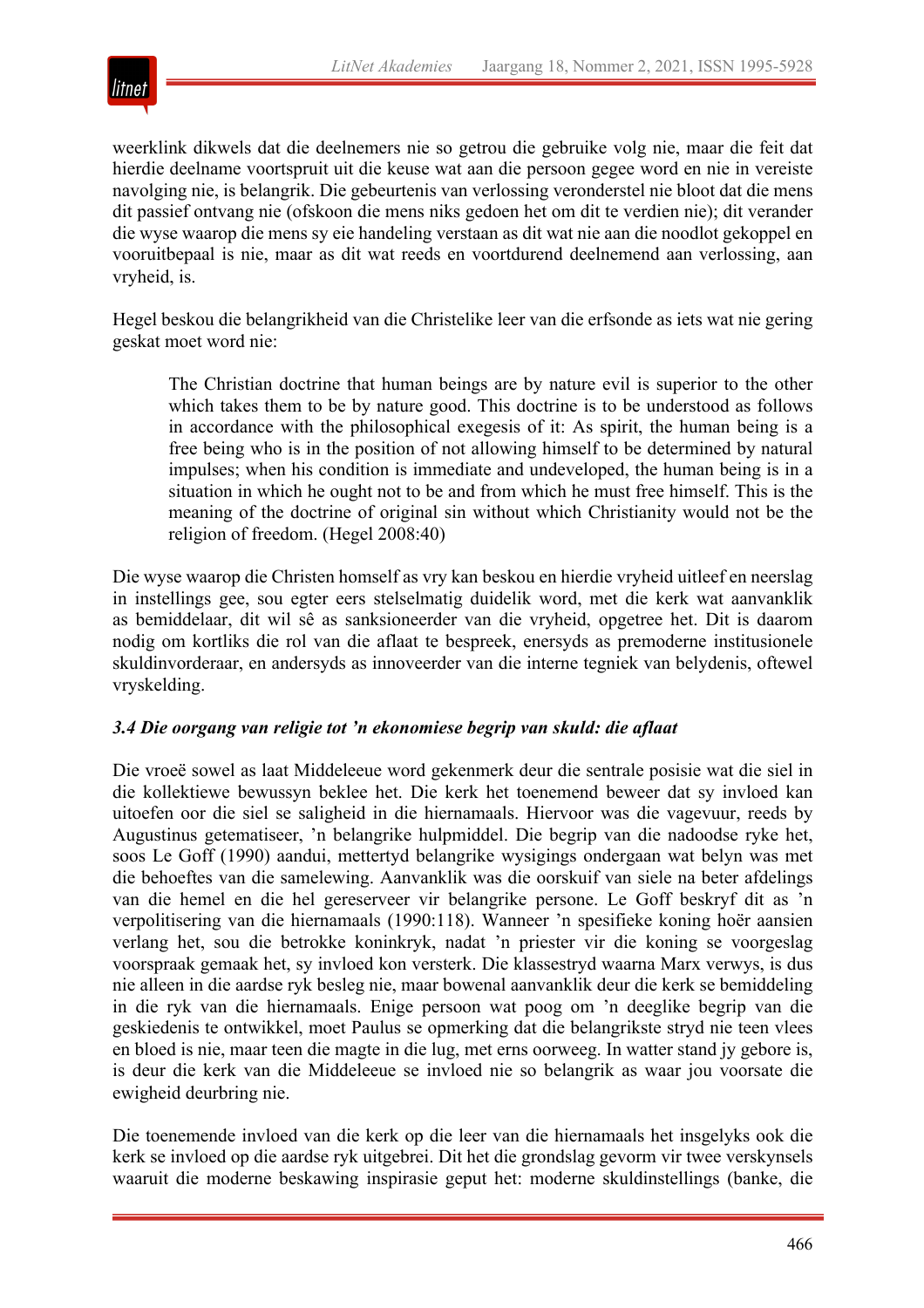

weerklink dikwels dat die deelnemers nie so getrou die gebruike volg nie, maar die feit dat hierdie deelname voortspruit uit die keuse wat aan die persoon gegee word en nie in vereiste navolging nie, is belangrik. Die gebeurtenis van verlossing veronderstel nie bloot dat die mens dit passief ontvang nie (ofskoon die mens niks gedoen het om dit te verdien nie); dit verander die wyse waarop die mens sy eie handeling verstaan as dit wat nie aan die noodlot gekoppel en vooruitbepaal is nie, maar as dit wat reeds en voortdurend deelnemend aan verlossing, aan vryheid, is.

Hegel beskou die belangrikheid van die Christelike leer van die erfsonde as iets wat nie gering geskat moet word nie:

The Christian doctrine that human beings are by nature evil is superior to the other which takes them to be by nature good. This doctrine is to be understood as follows in accordance with the philosophical exegesis of it: As spirit, the human being is a free being who is in the position of not allowing himself to be determined by natural impulses; when his condition is immediate and undeveloped, the human being is in a situation in which he ought not to be and from which he must free himself. This is the meaning of the doctrine of original sin without which Christianity would not be the religion of freedom. (Hegel 2008:40)

Die wyse waarop die Christen homself as vry kan beskou en hierdie vryheid uitleef en neerslag in instellings gee, sou egter eers stelselmatig duidelik word, met die kerk wat aanvanklik as bemiddelaar, dit wil sê as sanksioneerder van die vryheid, opgetree het. Dit is daarom nodig om kortliks die rol van die aflaat te bespreek, enersyds as premoderne institusionele skuldinvorderaar, en andersyds as innoveerder van die interne tegniek van belydenis, oftewel vryskelding.

#### *3.4 Die oorgang van religie tot 'n ekonomiese begrip van skuld: die aflaat*

Die vroeë sowel as laat Middeleeue word gekenmerk deur die sentrale posisie wat die siel in die kollektiewe bewussyn beklee het. Die kerk het toenemend beweer dat sy invloed kan uitoefen oor die siel se saligheid in die hiernamaals. Hiervoor was die vagevuur, reeds by Augustinus getematiseer, 'n belangrike hulpmiddel. Die begrip van die nadoodse ryke het, soos Le Goff (1990) aandui, mettertyd belangrike wysigings ondergaan wat belyn was met die behoeftes van die samelewing. Aanvanklik was die oorskuif van siele na beter afdelings van die hemel en die hel gereserveer vir belangrike persone. Le Goff beskryf dit as 'n verpolitisering van die hiernamaals (1990:118). Wanneer 'n spesifieke koning hoër aansien verlang het, sou die betrokke koninkryk, nadat 'n priester vir die koning se voorgeslag voorspraak gemaak het, sy invloed kon versterk. Die klassestryd waarna Marx verwys, is dus nie alleen in die aardse ryk besleg nie, maar bowenal aanvanklik deur die kerk se bemiddeling in die ryk van die hiernamaals. Enige persoon wat poog om 'n deeglike begrip van die geskiedenis te ontwikkel, moet Paulus se opmerking dat die belangrikste stryd nie teen vlees en bloed is nie, maar teen die magte in die lug, met erns oorweeg. In watter stand jy gebore is, is deur die kerk van die Middeleeue se invloed nie so belangrik as waar jou voorsate die ewigheid deurbring nie.

Die toenemende invloed van die kerk op die leer van die hiernamaals het insgelyks ook die kerk se invloed op die aardse ryk uitgebrei. Dit het die grondslag gevorm vir twee verskynsels waaruit die moderne beskawing inspirasie geput het: moderne skuldinstellings (banke, die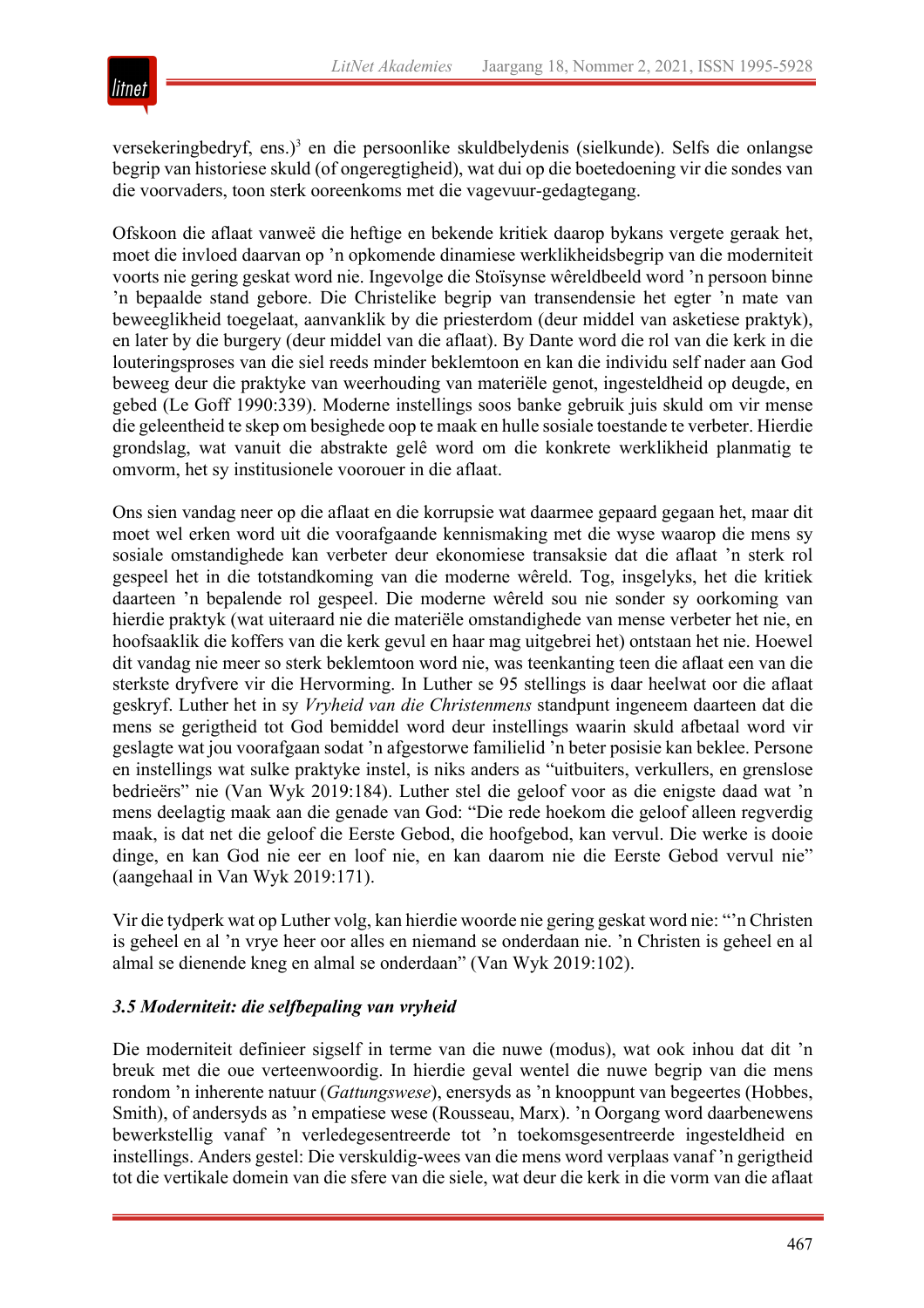

versekeringbedryf, ens.)<sup>3</sup> en die persoonlike skuldbelydenis (sielkunde). Selfs die onlangse begrip van historiese skuld (of ongeregtigheid), wat dui op die boetedoening vir die sondes van die voorvaders, toon sterk ooreenkoms met die vagevuur-gedagtegang.

Ofskoon die aflaat vanweë die heftige en bekende kritiek daarop bykans vergete geraak het, moet die invloed daarvan op 'n opkomende dinamiese werklikheidsbegrip van die moderniteit voorts nie gering geskat word nie. Ingevolge die Stoïsynse wêreldbeeld word 'n persoon binne 'n bepaalde stand gebore. Die Christelike begrip van transendensie het egter 'n mate van beweeglikheid toegelaat, aanvanklik by die priesterdom (deur middel van asketiese praktyk), en later by die burgery (deur middel van die aflaat). By Dante word die rol van die kerk in die louteringsproses van die siel reeds minder beklemtoon en kan die individu self nader aan God beweeg deur die praktyke van weerhouding van materiële genot, ingesteldheid op deugde, en gebed (Le Goff 1990:339). Moderne instellings soos banke gebruik juis skuld om vir mense die geleentheid te skep om besighede oop te maak en hulle sosiale toestande te verbeter. Hierdie grondslag, wat vanuit die abstrakte gelê word om die konkrete werklikheid planmatig te omvorm, het sy institusionele voorouer in die aflaat.

Ons sien vandag neer op die aflaat en die korrupsie wat daarmee gepaard gegaan het, maar dit moet wel erken word uit die voorafgaande kennismaking met die wyse waarop die mens sy sosiale omstandighede kan verbeter deur ekonomiese transaksie dat die aflaat 'n sterk rol gespeel het in die totstandkoming van die moderne wêreld. Tog, insgelyks, het die kritiek daarteen 'n bepalende rol gespeel. Die moderne wêreld sou nie sonder sy oorkoming van hierdie praktyk (wat uiteraard nie die materiële omstandighede van mense verbeter het nie, en hoofsaaklik die koffers van die kerk gevul en haar mag uitgebrei het) ontstaan het nie. Hoewel dit vandag nie meer so sterk beklemtoon word nie, was teenkanting teen die aflaat een van die sterkste dryfvere vir die Hervorming. In Luther se 95 stellings is daar heelwat oor die aflaat geskryf. Luther het in sy *Vryheid van die Christenmens* standpunt ingeneem daarteen dat die mens se gerigtheid tot God bemiddel word deur instellings waarin skuld afbetaal word vir geslagte wat jou voorafgaan sodat 'n afgestorwe familielid 'n beter posisie kan beklee. Persone en instellings wat sulke praktyke instel, is niks anders as "uitbuiters, verkullers, en grenslose bedrieërs" nie (Van Wyk 2019:184). Luther stel die geloof voor as die enigste daad wat 'n mens deelagtig maak aan die genade van God: "Die rede hoekom die geloof alleen regverdig maak, is dat net die geloof die Eerste Gebod, die hoofgebod, kan vervul. Die werke is dooie dinge, en kan God nie eer en loof nie, en kan daarom nie die Eerste Gebod vervul nie" (aangehaal in Van Wyk 2019:171).

Vir die tydperk wat op Luther volg, kan hierdie woorde nie gering geskat word nie: "'n Christen is geheel en al 'n vrye heer oor alles en niemand se onderdaan nie. 'n Christen is geheel en al almal se dienende kneg en almal se onderdaan" (Van Wyk 2019:102).

#### *3.5 Moderniteit: die selfbepaling van vryheid*

Die moderniteit definieer sigself in terme van die nuwe (modus), wat ook inhou dat dit 'n breuk met die oue verteenwoordig. In hierdie geval wentel die nuwe begrip van die mens rondom 'n inherente natuur (*Gattungswese*), enersyds as 'n knooppunt van begeertes (Hobbes, Smith), of andersyds as 'n empatiese wese (Rousseau, Marx). 'n Oorgang word daarbenewens bewerkstellig vanaf 'n verledegesentreerde tot 'n toekomsgesentreerde ingesteldheid en instellings. Anders gestel: Die verskuldig-wees van die mens word verplaas vanaf 'n gerigtheid tot die vertikale domein van die sfere van die siele, wat deur die kerk in die vorm van die aflaat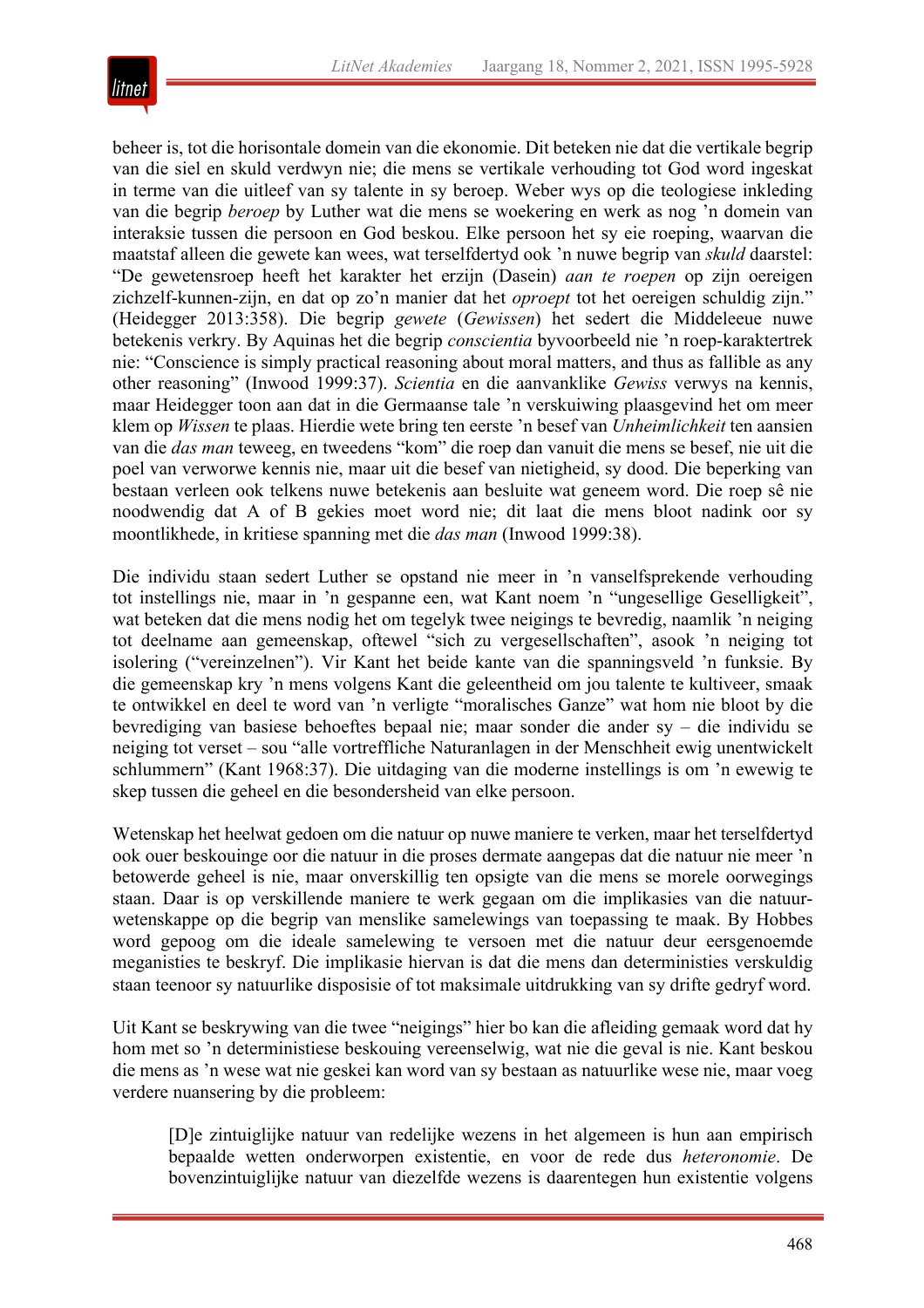

beheer is, tot die horisontale domein van die ekonomie. Dit beteken nie dat die vertikale begrip van die siel en skuld verdwyn nie; die mens se vertikale verhouding tot God word ingeskat in terme van die uitleef van sy talente in sy beroep. Weber wys op die teologiese inkleding van die begrip *beroep* by Luther wat die mens se woekering en werk as nog 'n domein van interaksie tussen die persoon en God beskou. Elke persoon het sy eie roeping, waarvan die maatstaf alleen die gewete kan wees, wat terselfdertyd ook 'n nuwe begrip van *skuld* daarstel: "De gewetensroep heeft het karakter het erzijn (Dasein) *aan te roepen* op zijn oereigen zichzelf-kunnen-zijn, en dat op zo'n manier dat het *oproept* tot het oereigen schuldig zijn." (Heidegger 2013:358). Die begrip *gewete* (*Gewissen*) het sedert die Middeleeue nuwe betekenis verkry. By Aquinas het die begrip *conscientia* byvoorbeeld nie 'n roep-karaktertrek nie: "Conscience is simply practical reasoning about moral matters, and thus as fallible as any other reasoning" (Inwood 1999:37). *Scientia* en die aanvanklike *Gewiss* verwys na kennis, maar Heidegger toon aan dat in die Germaanse tale 'n verskuiwing plaasgevind het om meer klem op *Wissen* te plaas. Hierdie wete bring ten eerste 'n besef van *Unheimlichkeit* ten aansien van die *das man* teweeg, en tweedens "kom" die roep dan vanuit die mens se besef, nie uit die poel van verworwe kennis nie, maar uit die besef van nietigheid, sy dood. Die beperking van bestaan verleen ook telkens nuwe betekenis aan besluite wat geneem word. Die roep sê nie noodwendig dat A of B gekies moet word nie; dit laat die mens bloot nadink oor sy moontlikhede, in kritiese spanning met die *das man* (Inwood 1999:38).

Die individu staan sedert Luther se opstand nie meer in 'n vanselfsprekende verhouding tot instellings nie, maar in 'n gespanne een, wat Kant noem 'n "ungesellige Geselligkeit", wat beteken dat die mens nodig het om tegelyk twee neigings te bevredig, naamlik 'n neiging tot deelname aan gemeenskap, oftewel "sich zu vergesellschaften", asook 'n neiging tot isolering ("vereinzelnen"). Vir Kant het beide kante van die spanningsveld 'n funksie. By die gemeenskap kry 'n mens volgens Kant die geleentheid om jou talente te kultiveer, smaak te ontwikkel en deel te word van 'n verligte "moralisches Ganze" wat hom nie bloot by die bevrediging van basiese behoeftes bepaal nie; maar sonder die ander sy – die individu se neiging tot verset – sou "alle vortreffliche Naturanlagen in der Menschheit ewig unentwickelt schlummern" (Kant 1968:37). Die uitdaging van die moderne instellings is om 'n ewewig te skep tussen die geheel en die besondersheid van elke persoon.

Wetenskap het heelwat gedoen om die natuur op nuwe maniere te verken, maar het terselfdertyd ook ouer beskouinge oor die natuur in die proses dermate aangepas dat die natuur nie meer 'n betowerde geheel is nie, maar onverskillig ten opsigte van die mens se morele oorwegings staan. Daar is op verskillende maniere te werk gegaan om die implikasies van die natuurwetenskappe op die begrip van menslike samelewings van toepassing te maak. By Hobbes word gepoog om die ideale samelewing te versoen met die natuur deur eersgenoemde meganisties te beskryf. Die implikasie hiervan is dat die mens dan deterministies verskuldig staan teenoor sy natuurlike disposisie of tot maksimale uitdrukking van sy drifte gedryf word.

Uit Kant se beskrywing van die twee "neigings" hier bo kan die afleiding gemaak word dat hy hom met so 'n deterministiese beskouing vereenselwig, wat nie die geval is nie. Kant beskou die mens as 'n wese wat nie geskei kan word van sy bestaan as natuurlike wese nie, maar voeg verdere nuansering by die probleem:

[D]e zintuiglijke natuur van redelijke wezens in het algemeen is hun aan empirisch bepaalde wetten onderworpen existentie, en voor de rede dus *heteronomie*. De bovenzintuiglijke natuur van diezelfde wezens is daarentegen hun existentie volgens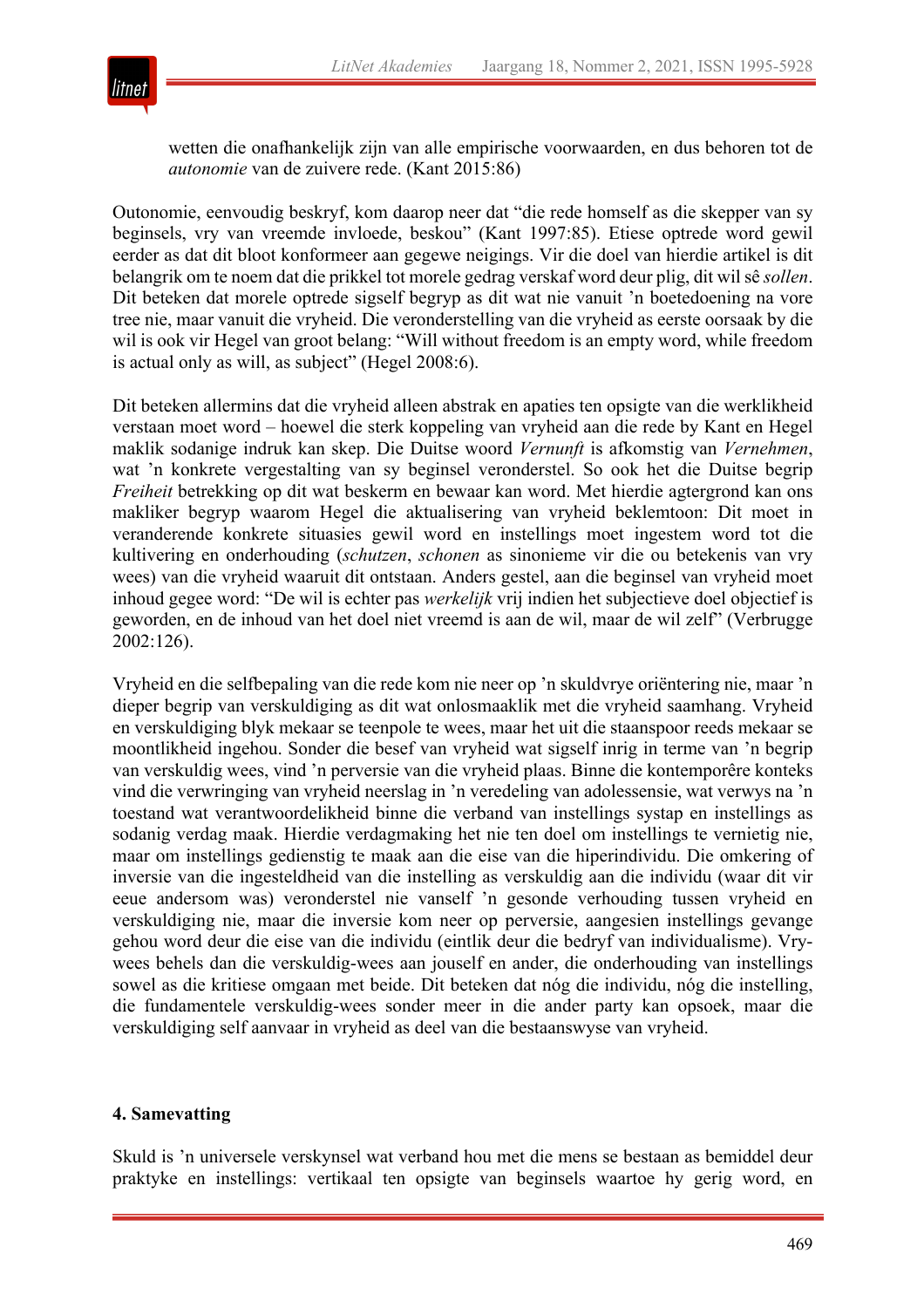

wetten die onafhankelijk zijn van alle empirische voorwaarden, en dus behoren tot de *autonomie* van de zuivere rede. (Kant 2015:86)

Outonomie, eenvoudig beskryf, kom daarop neer dat "die rede homself as die skepper van sy beginsels, vry van vreemde invloede, beskou" (Kant 1997:85). Etiese optrede word gewil eerder as dat dit bloot konformeer aan gegewe neigings. Vir die doel van hierdie artikel is dit belangrik om te noem dat die prikkel tot morele gedrag verskaf word deur plig, dit wil sê *sollen*. Dit beteken dat morele optrede sigself begryp as dit wat nie vanuit 'n boetedoening na vore tree nie, maar vanuit die vryheid. Die veronderstelling van die vryheid as eerste oorsaak by die wil is ook vir Hegel van groot belang: "Will without freedom is an empty word, while freedom is actual only as will, as subject" (Hegel 2008:6).

Dit beteken allermins dat die vryheid alleen abstrak en apaties ten opsigte van die werklikheid verstaan moet word – hoewel die sterk koppeling van vryheid aan die rede by Kant en Hegel maklik sodanige indruk kan skep. Die Duitse woord *Vernunft* is afkomstig van *Vernehmen*, wat 'n konkrete vergestalting van sy beginsel veronderstel. So ook het die Duitse begrip *Freiheit* betrekking op dit wat beskerm en bewaar kan word. Met hierdie agtergrond kan ons makliker begryp waarom Hegel die aktualisering van vryheid beklemtoon: Dit moet in veranderende konkrete situasies gewil word en instellings moet ingestem word tot die kultivering en onderhouding (*schutzen*, *schonen* as sinonieme vir die ou betekenis van vry wees) van die vryheid waaruit dit ontstaan. Anders gestel, aan die beginsel van vryheid moet inhoud gegee word: "De wil is echter pas *werkelijk* vrij indien het subjectieve doel objectief is geworden, en de inhoud van het doel niet vreemd is aan de wil, maar de wil zelf" (Verbrugge 2002:126).

Vryheid en die selfbepaling van die rede kom nie neer op 'n skuldvrye oriëntering nie, maar 'n dieper begrip van verskuldiging as dit wat onlosmaaklik met die vryheid saamhang. Vryheid en verskuldiging blyk mekaar se teenpole te wees, maar het uit die staanspoor reeds mekaar se moontlikheid ingehou. Sonder die besef van vryheid wat sigself inrig in terme van 'n begrip van verskuldig wees, vind 'n perversie van die vryheid plaas. Binne die kontemporêre konteks vind die verwringing van vryheid neerslag in 'n veredeling van adolessensie, wat verwys na 'n toestand wat verantwoordelikheid binne die verband van instellings systap en instellings as sodanig verdag maak. Hierdie verdagmaking het nie ten doel om instellings te vernietig nie, maar om instellings gedienstig te maak aan die eise van die hiperindividu. Die omkering of inversie van die ingesteldheid van die instelling as verskuldig aan die individu (waar dit vir eeue andersom was) veronderstel nie vanself 'n gesonde verhouding tussen vryheid en verskuldiging nie, maar die inversie kom neer op perversie, aangesien instellings gevange gehou word deur die eise van die individu (eintlik deur die bedryf van individualisme). Vrywees behels dan die verskuldig-wees aan jouself en ander, die onderhouding van instellings sowel as die kritiese omgaan met beide. Dit beteken dat nóg die individu, nóg die instelling, die fundamentele verskuldig-wees sonder meer in die ander party kan opsoek, maar die verskuldiging self aanvaar in vryheid as deel van die bestaanswyse van vryheid.

#### **4. Samevatting**

Skuld is 'n universele verskynsel wat verband hou met die mens se bestaan as bemiddel deur praktyke en instellings: vertikaal ten opsigte van beginsels waartoe hy gerig word, en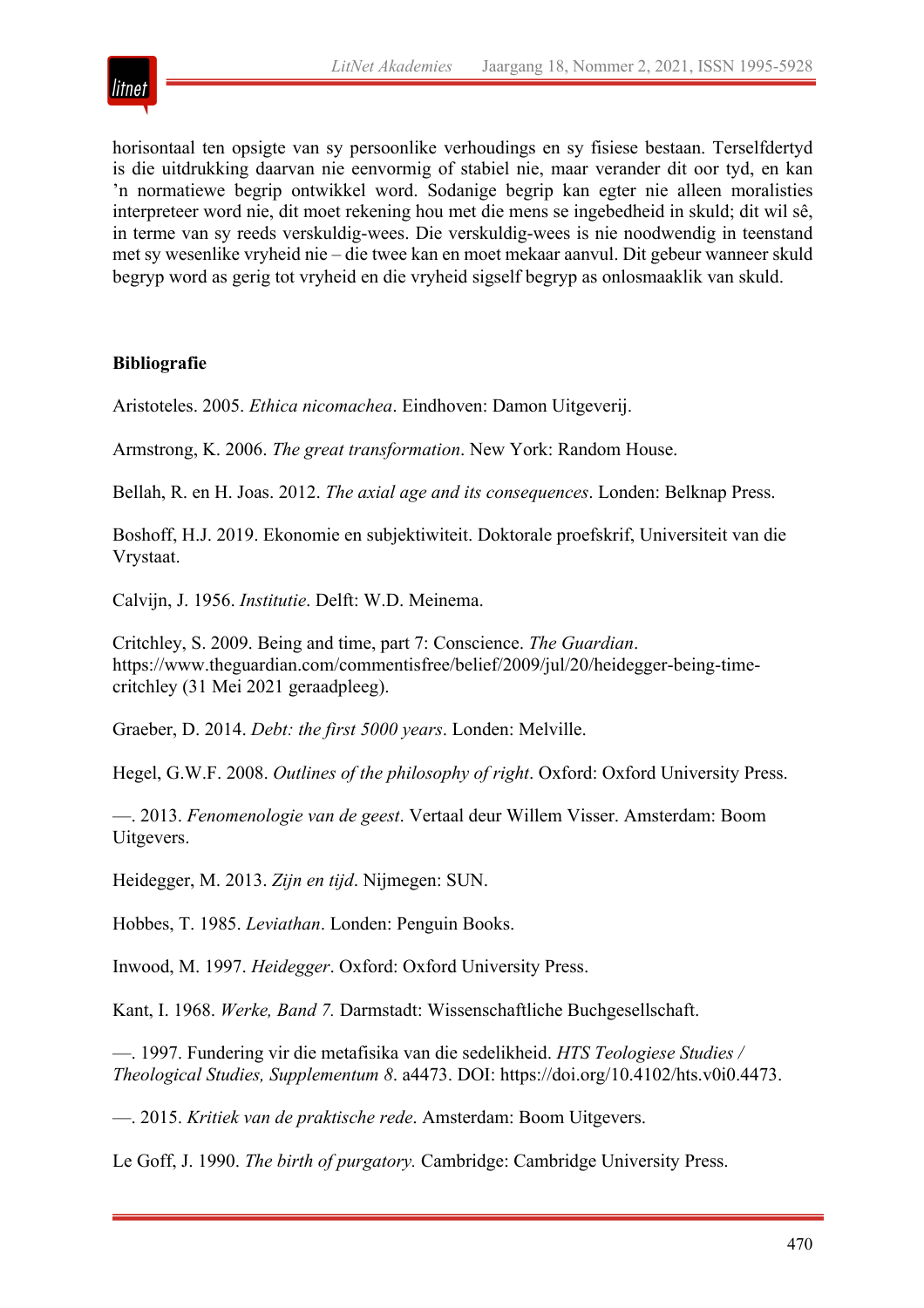

horisontaal ten opsigte van sy persoonlike verhoudings en sy fisiese bestaan. Terselfdertyd is die uitdrukking daarvan nie eenvormig of stabiel nie, maar verander dit oor tyd, en kan 'n normatiewe begrip ontwikkel word. Sodanige begrip kan egter nie alleen moralisties interpreteer word nie, dit moet rekening hou met die mens se ingebedheid in skuld; dit wil sê, in terme van sy reeds verskuldig-wees. Die verskuldig-wees is nie noodwendig in teenstand met sy wesenlike vryheid nie – die twee kan en moet mekaar aanvul. Dit gebeur wanneer skuld begryp word as gerig tot vryheid en die vryheid sigself begryp as onlosmaaklik van skuld.

## **Bibliografie**

Aristoteles. 2005. *Ethica nicomachea*. Eindhoven: Damon Uitgeverij.

Armstrong, K. 2006. *The great transformation*. New York: Random House.

Bellah, R. en H. Joas. 2012. *The axial age and its consequences*. Londen: Belknap Press.

Boshoff, H.J. 2019. Ekonomie en subjektiwiteit. Doktorale proefskrif, Universiteit van die Vrystaat.

Calvijn, J. 1956. *Institutie*. Delft: W.D. Meinema.

Critchley, S. 2009. Being and time, part 7: Conscience. *The Guardian*. https://www.theguardian.com/commentisfree/belief/2009/jul/20/heidegger-being-timecritchley (31 Mei 2021 geraadpleeg).

Graeber, D. 2014. *Debt: the first 5000 years*. Londen: Melville.

Hegel, G.W.F. 2008. *Outlines of the philosophy of right*. Oxford: Oxford University Press.

—. 2013. *Fenomenologie van de geest*. Vertaal deur Willem Visser. Amsterdam: Boom Uitgevers.

Heidegger, M. 2013. *Zijn en tijd*. Nijmegen: SUN.

Hobbes, T. 1985. *Leviathan*. Londen: Penguin Books.

Inwood, M. 1997. *Heidegger*. Oxford: Oxford University Press.

Kant, I. 1968. *Werke, Band 7.* Darmstadt: Wissenschaftliche Buchgesellschaft.

—. 1997. Fundering vir die metafisika van die sedelikheid. *HTS Teologiese Studies / Theological Studies, Supplementum 8*. a4473. DOI: https://doi.org/10.4102/hts.v0i0.4473.

—. 2015. *Kritiek van de praktische rede*. Amsterdam: Boom Uitgevers.

Le Goff, J. 1990. *The birth of purgatory.* Cambridge: Cambridge University Press.